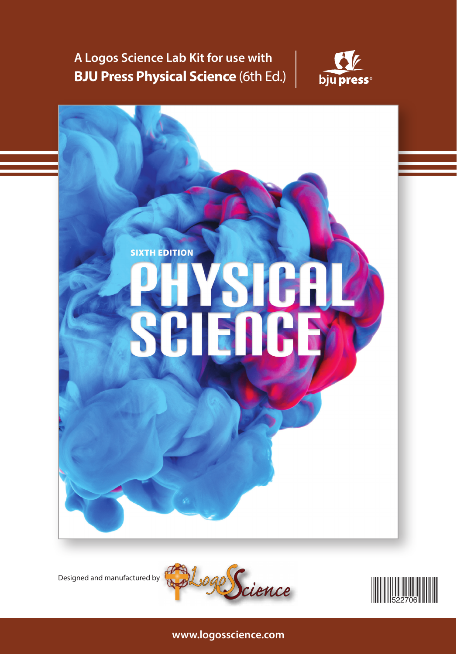**A Logos Science Lab Kit for use with BJU Press Physical Science** (6th Ed.)









**www.logosscience.com**